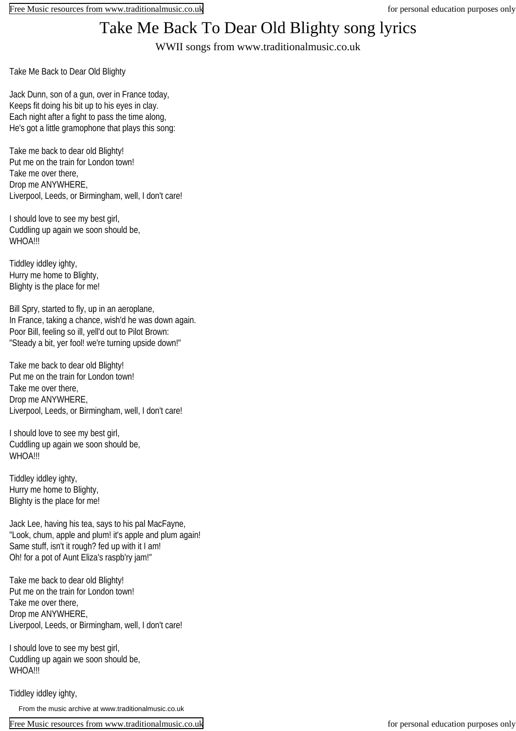## Take Me Back To Dear Old Blighty song lyrics

WWII songs from www.traditionalmusic.co.uk

Take Me Back to Dear Old Blighty

Jack Dunn, son of a gun, over in France today, Keeps fit doing his bit up to his eyes in clay. Each night after a fight to pass the time along, He's got a little gramophone that plays this song:

Take me back to dear old Blighty! Put me on the train for London town! Take me over there, Drop me ANYWHERE, Liverpool, Leeds, or Birmingham, well, I don't care!

I should love to see my best girl, Cuddling up again we soon should be, WHOA!!!

Tiddley iddley ighty, Hurry me home to Blighty, Blighty is the place for me!

Bill Spry, started to fly, up in an aeroplane, In France, taking a chance, wish'd he was down again. Poor Bill, feeling so ill, yell'd out to Pilot Brown: "Steady a bit, yer fool! we're turning upside down!"

Take me back to dear old Blighty! Put me on the train for London town! Take me over there, Drop me ANYWHERE, Liverpool, Leeds, or Birmingham, well, I don't care!

I should love to see my best girl, Cuddling up again we soon should be, WHOA!!!

Tiddley iddley ighty, Hurry me home to Blighty, Blighty is the place for me!

Jack Lee, having his tea, says to his pal MacFayne, "Look, chum, apple and plum! it's apple and plum again! Same stuff, isn't it rough? fed up with it I am! Oh! for a pot of Aunt Eliza's raspb'ry jam!"

Take me back to dear old Blighty! Put me on the train for London town! Take me over there, Drop me ANYWHERE, Liverpool, Leeds, or Birmingham, well, I don't care!

I should love to see my best girl, Cuddling up again we soon should be, WHOA!!!

Tiddley iddley ighty,

From the music archive at www.traditionalmusic.co.uk